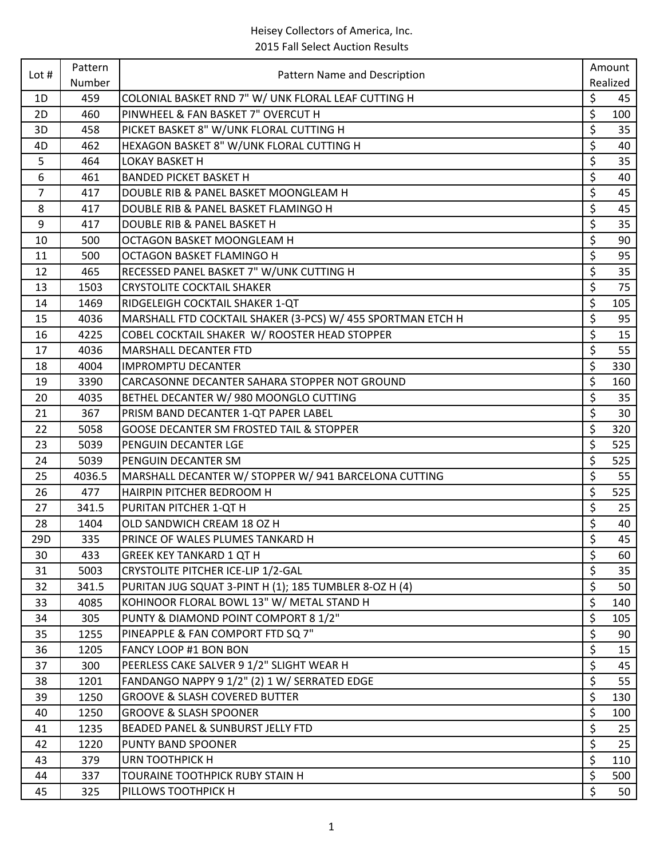| Lot $#$ | Pattern<br>Number | Pattern Name and Description                                | Amount |          |
|---------|-------------------|-------------------------------------------------------------|--------|----------|
|         |                   |                                                             |        | Realized |
| 1D      | 459               | COLONIAL BASKET RND 7" W/ UNK FLORAL LEAF CUTTING H         | \$     | 45       |
| 2D      | 460               | PINWHEEL & FAN BASKET 7" OVERCUT H                          | \$     | 100      |
| 3D      | 458               | PICKET BASKET 8" W/UNK FLORAL CUTTING H                     | \$     | 35       |
| 4D      | 462               | HEXAGON BASKET 8" W/UNK FLORAL CUTTING H                    | \$     | 40       |
| 5       | 464               | <b>LOKAY BASKET H</b>                                       | \$     | 35       |
| 6       | 461               | <b>BANDED PICKET BASKET H</b>                               | \$     | 40       |
| 7       | 417               | DOUBLE RIB & PANEL BASKET MOONGLEAM H                       | \$     | 45       |
| 8       | 417               | DOUBLE RIB & PANEL BASKET FLAMINGO H                        | \$     | 45       |
| 9       | 417               | DOUBLE RIB & PANEL BASKET H                                 | \$     | 35       |
| 10      | 500               | OCTAGON BASKET MOONGLEAM H                                  | \$     | 90       |
| 11      | 500               | OCTAGON BASKET FLAMINGO H                                   | \$     | 95       |
| 12      | 465               | RECESSED PANEL BASKET 7" W/UNK CUTTING H                    | \$     | 35       |
| 13      | 1503              | <b>CRYSTOLITE COCKTAIL SHAKER</b>                           | \$     | 75       |
| 14      | 1469              | RIDGELEIGH COCKTAIL SHAKER 1-QT                             | \$     | 105      |
| 15      | 4036              | MARSHALL FTD COCKTAIL SHAKER (3-PCS) W/ 455 SPORTMAN ETCH H | \$     | 95       |
| 16      | 4225              | COBEL COCKTAIL SHAKER W/ ROOSTER HEAD STOPPER               | \$     | 15       |
| 17      | 4036              | <b>MARSHALL DECANTER FTD</b>                                | \$     | 55       |
| 18      | 4004              | <b>IMPROMPTU DECANTER</b>                                   | \$     | 330      |
| 19      | 3390              | CARCASONNE DECANTER SAHARA STOPPER NOT GROUND               | \$     | 160      |
| 20      | 4035              | BETHEL DECANTER W/ 980 MOONGLO CUTTING                      | \$     | 35       |
| 21      | 367               | PRISM BAND DECANTER 1-QT PAPER LABEL                        | \$     | 30       |
| 22      | 5058              | GOOSE DECANTER SM FROSTED TAIL & STOPPER                    | \$     | 320      |
| 23      | 5039              | PENGUIN DECANTER LGE                                        | \$     | 525      |
| 24      | 5039              | PENGUIN DECANTER SM                                         | \$     | 525      |
| 25      | 4036.5            | MARSHALL DECANTER W/ STOPPER W/941 BARCELONA CUTTING        | \$     | 55       |
| 26      | 477               | HAIRPIN PITCHER BEDROOM H                                   | \$     | 525      |
| 27      | 341.5             | PURITAN PITCHER 1-QT H                                      | \$     | 25       |
| 28      | 1404              | OLD SANDWICH CREAM 18 OZ H                                  | \$     | 40       |
| 29D     | 335               | PRINCE OF WALES PLUMES TANKARD H                            | \$     | 45       |
| 30      | 433               | <b>GREEK KEY TANKARD 1 QT H</b>                             | \$     | 60       |
| 31      | 5003              | CRYSTOLITE PITCHER ICE-LIP 1/2-GAL                          | \$     | 35       |
| 32      | 341.5             | PURITAN JUG SQUAT 3-PINT H (1); 185 TUMBLER 8-OZ H (4)      | \$     | 50       |
| 33      | 4085              | KOHINOOR FLORAL BOWL 13" W/ METAL STAND H                   | \$     | 140      |
| 34      | 305               | PUNTY & DIAMOND POINT COMPORT 8 1/2"                        | \$     | 105      |
| 35      | 1255              | PINEAPPLE & FAN COMPORT FTD SQ 7"                           | \$     | 90       |
| 36      | 1205              | FANCY LOOP #1 BON BON                                       | \$     | 15       |
| 37      | 300               | PEERLESS CAKE SALVER 9 1/2" SLIGHT WEAR H                   | \$     | 45       |
| 38      | 1201              | FANDANGO NAPPY 9 1/2" (2) 1 W/ SERRATED EDGE                | \$     | 55       |
| 39      | 1250              | <b>GROOVE &amp; SLASH COVERED BUTTER</b>                    | \$     | 130      |
| 40      | 1250              | <b>GROOVE &amp; SLASH SPOONER</b>                           | \$     | 100      |
| 41      | 1235              | BEADED PANEL & SUNBURST JELLY FTD                           | \$     | 25       |
| 42      | 1220              | <b>PUNTY BAND SPOONER</b>                                   | \$     | 25       |
| 43      | 379               | <b>URN TOOTHPICK H</b>                                      | \$     | 110      |
| 44      | 337               | TOURAINE TOOTHPICK RUBY STAIN H                             | \$     | 500      |
| 45      | 325               | PILLOWS TOOTHPICK H                                         | \$     | 50       |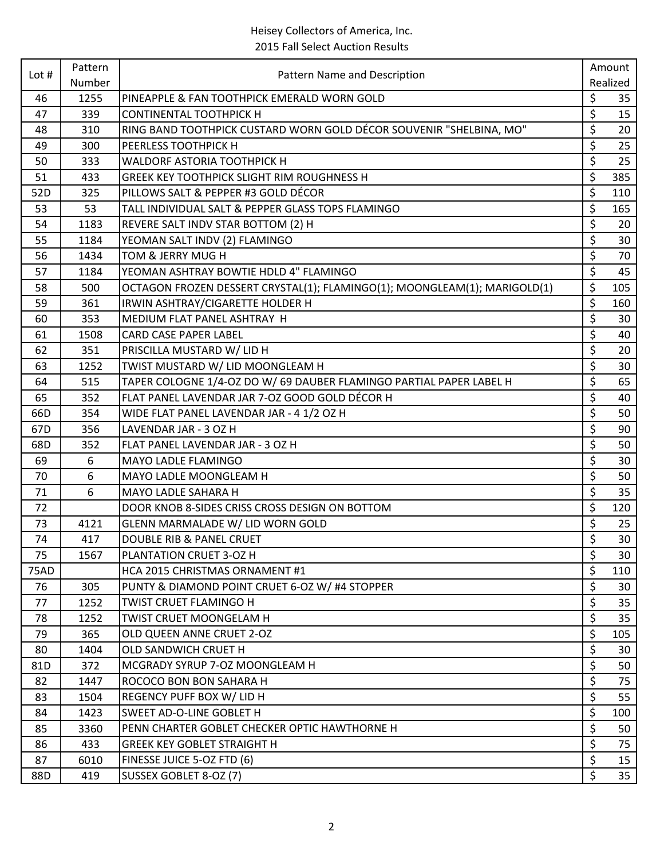| Lot $#$     | Pattern<br>Number | Pattern Name and Description                                              | Amount                 |                 |
|-------------|-------------------|---------------------------------------------------------------------------|------------------------|-----------------|
|             |                   |                                                                           |                        | Realized        |
| 46          | 1255              | PINEAPPLE & FAN TOOTHPICK EMERALD WORN GOLD                               | \$                     | 35              |
| 47          | 339               | <b>CONTINENTAL TOOTHPICK H</b>                                            | \$                     | 15              |
| 48          | 310               | RING BAND TOOTHPICK CUSTARD WORN GOLD DÉCOR SOUVENIR "SHELBINA, MO"       | \$                     | 20              |
| 49          | 300               | PEERLESS TOOTHPICK H                                                      | \$                     | 25              |
| 50          | 333               | WALDORF ASTORIA TOOTHPICK H                                               | \$                     | 25              |
| 51          | 433               | <b>GREEK KEY TOOTHPICK SLIGHT RIM ROUGHNESS H</b>                         | \$                     | 385             |
| 52D         | 325               | PILLOWS SALT & PEPPER #3 GOLD DÉCOR                                       | \$                     | 110             |
| 53          | 53                | TALL INDIVIDUAL SALT & PEPPER GLASS TOPS FLAMINGO                         | \$                     | 165             |
| 54          | 1183              | REVERE SALT INDV STAR BOTTOM (2) H                                        | \$                     | 20              |
| 55          | 1184              | YEOMAN SALT INDV (2) FLAMINGO                                             | \$                     | 30              |
| 56          | 1434              | TOM & JERRY MUG H                                                         | \$                     | 70              |
| 57          | 1184              | YEOMAN ASHTRAY BOWTIE HDLD 4" FLAMINGO                                    | \$                     | 45              |
| 58          | 500               | OCTAGON FROZEN DESSERT CRYSTAL(1); FLAMINGO(1); MOONGLEAM(1); MARIGOLD(1) | \$                     | 105             |
| 59          | 361               | IRWIN ASHTRAY/CIGARETTE HOLDER H                                          | \$                     | 160             |
| 60          | 353               | <b>MEDIUM FLAT PANEL ASHTRAY H</b>                                        | \$                     | 30              |
| 61          | 1508              | <b>CARD CASE PAPER LABEL</b>                                              | \$                     | 40              |
| 62          | 351               | PRISCILLA MUSTARD W/ LID H                                                | \$                     | 20              |
| 63          | 1252              | TWIST MUSTARD W/ LID MOONGLEAM H                                          | \$                     | 30              |
| 64          | 515               | TAPER COLOGNE 1/4-OZ DO W/ 69 DAUBER FLAMINGO PARTIAL PAPER LABEL H       | \$                     | 65              |
| 65          | 352               | FLAT PANEL LAVENDAR JAR 7-OZ GOOD GOLD DÉCOR H                            | \$                     | 40              |
| 66D         | 354               | WIDE FLAT PANEL LAVENDAR JAR - 4 1/2 OZ H                                 | $\overline{\varsigma}$ | 50              |
| 67D         | 356               | LAVENDAR JAR - 3 OZ H                                                     | \$                     | 90              |
| 68D         | 352               | FLAT PANEL LAVENDAR JAR - 3 OZ H                                          | \$                     | 50              |
| 69          | 6                 | <b>MAYO LADLE FLAMINGO</b>                                                | \$                     | 30              |
| 70          | 6                 | MAYO LADLE MOONGLEAM H                                                    | \$                     | 50              |
| 71          | 6                 | <b>MAYO LADLE SAHARA H</b>                                                | \$                     | 35              |
| 72          |                   | DOOR KNOB 8-SIDES CRISS CROSS DESIGN ON BOTTOM                            | \$                     | 120             |
| 73          | 4121              | GLENN MARMALADE W/ LID WORN GOLD                                          | \$                     | 25              |
| 74          | 417               | <b>DOUBLE RIB &amp; PANEL CRUET</b>                                       | \$                     | 30              |
| 75          | 1567              | PLANTATION CRUET 3-OZ H                                                   | \$                     | 30              |
| <b>75AD</b> |                   | HCA 2015 CHRISTMAS ORNAMENT #1                                            | \$                     | 110             |
| 76          | 305               | PUNTY & DIAMOND POINT CRUET 6-OZ W/ #4 STOPPER                            | \$                     | 30              |
| 77          | 1252              | <b>TWIST CRUET FLAMINGO H</b>                                             | \$                     | 35              |
| 78          | 1252              | TWIST CRUET MOONGELAM H                                                   | \$                     | 35              |
| 79          | 365               | OLD QUEEN ANNE CRUET 2-OZ                                                 | \$                     | 105             |
| 80          | 1404              | <b>OLD SANDWICH CRUET H</b>                                               | \$                     | 30              |
| 81D         | 372               | MCGRADY SYRUP 7-OZ MOONGLEAM H                                            | \$                     | 50              |
| 82          | 1447              | ROCOCO BON BON SAHARA H                                                   | \$                     | 75              |
| 83          | 1504              | REGENCY PUFF BOX W/ LID H                                                 | \$                     | 55              |
| 84          | 1423              | SWEET AD-O-LINE GOBLET H                                                  | \$                     | 100             |
| 85          | 3360              | PENN CHARTER GOBLET CHECKER OPTIC HAWTHORNE H                             | \$                     | 50              |
| 86          | 433               | <b>GREEK KEY GOBLET STRAIGHT H</b>                                        | \$                     | 75              |
| 87          | 6010              | FINESSE JUICE 5-OZ FTD (6)                                                | \$                     | 15              |
| 88D         | 419               | SUSSEX GOBLET 8-OZ (7)                                                    | \$                     | 35 <sub>1</sub> |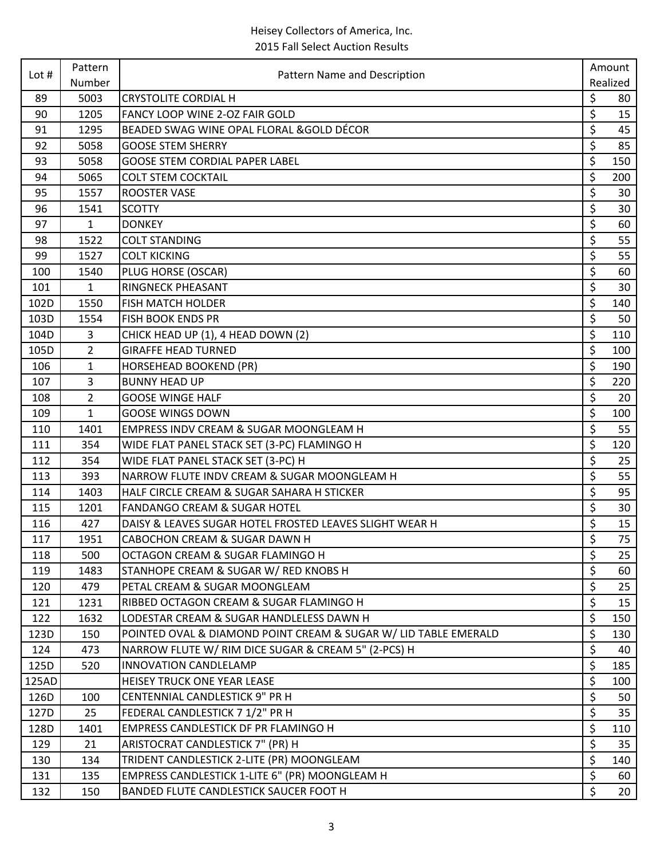| Lot $#$ | Pattern<br>Number | Pattern Name and Description                                    | Amount    |
|---------|-------------------|-----------------------------------------------------------------|-----------|
|         |                   |                                                                 |           |
| 89      | 5003              | <b>CRYSTOLITE CORDIAL H</b>                                     | \$<br>80  |
| 90      | 1205              | FANCY LOOP WINE 2-OZ FAIR GOLD                                  | \$<br>15  |
| 91      | 1295              | BEADED SWAG WINE OPAL FLORAL & GOLD DÉCOR                       | \$<br>45  |
| 92      | 5058              | <b>GOOSE STEM SHERRY</b>                                        | \$<br>85  |
| 93      | 5058              | <b>GOOSE STEM CORDIAL PAPER LABEL</b>                           | \$<br>150 |
| 94      | 5065              | <b>COLT STEM COCKTAIL</b>                                       | \$<br>200 |
| 95      | 1557              | <b>ROOSTER VASE</b>                                             | \$<br>30  |
| 96      | 1541              | <b>SCOTTY</b>                                                   | \$<br>30  |
| 97      | 1                 | <b>DONKEY</b>                                                   | \$<br>60  |
| 98      | 1522              | <b>COLT STANDING</b>                                            | \$<br>55  |
| 99      | 1527              | <b>COLT KICKING</b>                                             | \$<br>55  |
| 100     | 1540              | PLUG HORSE (OSCAR)                                              | \$<br>60  |
| 101     | $\mathbf{1}$      | <b>RINGNECK PHEASANT</b>                                        | \$<br>30  |
| 102D    | 1550              | <b>FISH MATCH HOLDER</b>                                        | \$<br>140 |
| 103D    | 1554              | FISH BOOK ENDS PR                                               | \$<br>50  |
| 104D    | 3                 | CHICK HEAD UP (1), 4 HEAD DOWN (2)                              | \$<br>110 |
| 105D    | $\overline{2}$    | <b>GIRAFFE HEAD TURNED</b>                                      | \$<br>100 |
| 106     | $\mathbf{1}$      | <b>HORSEHEAD BOOKEND (PR)</b>                                   | \$<br>190 |
| 107     | 3                 | <b>BUNNY HEAD UP</b>                                            | \$<br>220 |
| 108     | $\overline{2}$    | <b>GOOSE WINGE HALF</b>                                         | \$<br>20  |
| 109     | $\mathbf{1}$      | <b>GOOSE WINGS DOWN</b>                                         | \$<br>100 |
| 110     | 1401              | EMPRESS INDV CREAM & SUGAR MOONGLEAM H                          | \$<br>55  |
| 111     | 354               | WIDE FLAT PANEL STACK SET (3-PC) FLAMINGO H                     | \$<br>120 |
| 112     | 354               | WIDE FLAT PANEL STACK SET (3-PC) H                              | \$<br>25  |
| 113     | 393               | NARROW FLUTE INDV CREAM & SUGAR MOONGLEAM H                     | \$<br>55  |
| 114     | 1403              | HALF CIRCLE CREAM & SUGAR SAHARA H STICKER                      | \$<br>95  |
| 115     | 1201              | <b>FANDANGO CREAM &amp; SUGAR HOTEL</b>                         | \$<br>30  |
| 116     | 427               | DAISY & LEAVES SUGAR HOTEL FROSTED LEAVES SLIGHT WEAR H         | \$<br>15  |
| 117     | 1951              | CABOCHON CREAM & SUGAR DAWN H                                   | \$<br>75  |
| 118     | 500               | OCTAGON CREAM & SUGAR FLAMINGO H                                | \$<br>25  |
| 119     | 1483              | STANHOPE CREAM & SUGAR W/ RED KNOBS H                           | \$<br>60  |
| 120     | 479               | PETAL CREAM & SUGAR MOONGLEAM                                   | \$<br>25  |
| 121     | 1231              | RIBBED OCTAGON CREAM & SUGAR FLAMINGO H                         | \$<br>15  |
| 122     | 1632              | LODESTAR CREAM & SUGAR HANDLELESS DAWN H                        | \$<br>150 |
| 123D    | 150               | POINTED OVAL & DIAMOND POINT CREAM & SUGAR W/ LID TABLE EMERALD | \$<br>130 |
| 124     | 473               | NARROW FLUTE W/ RIM DICE SUGAR & CREAM 5" (2-PCS) H             | \$<br>40  |
| 125D    | 520               | INNOVATION CANDLELAMP                                           | \$<br>185 |
| 125AD   |                   | HEISEY TRUCK ONE YEAR LEASE                                     | \$<br>100 |
| 126D    | 100               | <b>CENTENNIAL CANDLESTICK 9" PR H</b>                           | \$<br>50  |
| 127D    | 25                | FEDERAL CANDLESTICK 7 1/2" PR H                                 | \$<br>35  |
| 128D    | 1401              | EMPRESS CANDLESTICK DF PR FLAMINGO H                            | \$<br>110 |
| 129     | 21                | ARISTOCRAT CANDLESTICK 7" (PR) H                                | \$<br>35  |
| 130     | 134               | TRIDENT CANDLESTICK 2-LITE (PR) MOONGLEAM                       | \$<br>140 |
| 131     | 135               | EMPRESS CANDLESTICK 1-LITE 6" (PR) MOONGLEAM H                  | \$<br>60  |
| 132     | 150               | BANDED FLUTE CANDLESTICK SAUCER FOOT H                          | \$<br>20  |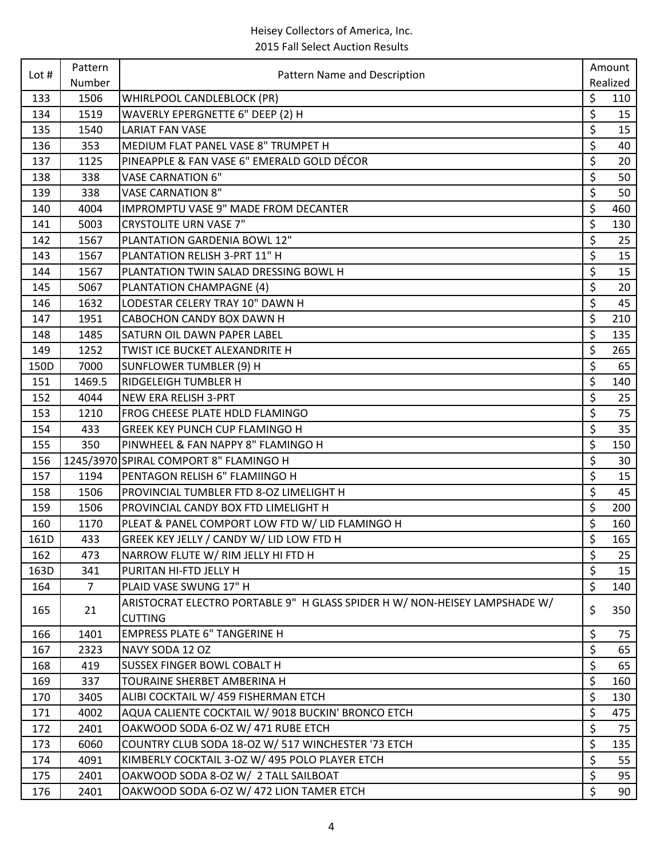| Lot $#$ | Pattern        | Pattern Name and Description                                                                 | Amount    |
|---------|----------------|----------------------------------------------------------------------------------------------|-----------|
|         | Number         |                                                                                              | Realized  |
| 133     | 1506           | WHIRLPOOL CANDLEBLOCK (PR)                                                                   | \$<br>110 |
| 134     | 1519           | WAVERLY EPERGNETTE 6" DEEP (2) H                                                             | \$<br>15  |
| 135     | 1540           | <b>LARIAT FAN VASE</b>                                                                       | \$<br>15  |
| 136     | 353            | MEDIUM FLAT PANEL VASE 8" TRUMPET H                                                          | \$<br>40  |
| 137     | 1125           | PINEAPPLE & FAN VASE 6" EMERALD GOLD DÉCOR                                                   | \$<br>20  |
| 138     | 338            | <b>VASE CARNATION 6"</b>                                                                     | \$<br>50  |
| 139     | 338            | <b>VASE CARNATION 8"</b>                                                                     | \$<br>50  |
| 140     | 4004           | <b>IMPROMPTU VASE 9" MADE FROM DECANTER</b>                                                  | \$<br>460 |
| 141     | 5003           | <b>CRYSTOLITE URN VASE 7"</b>                                                                | \$<br>130 |
| 142     | 1567           | PLANTATION GARDENIA BOWL 12"                                                                 | \$<br>25  |
| 143     | 1567           | PLANTATION RELISH 3-PRT 11" H                                                                | \$<br>15  |
| 144     | 1567           | PLANTATION TWIN SALAD DRESSING BOWL H                                                        | \$<br>15  |
| 145     | 5067           | PLANTATION CHAMPAGNE (4)                                                                     | \$<br>20  |
| 146     | 1632           | LODESTAR CELERY TRAY 10" DAWN H                                                              | \$<br>45  |
| 147     | 1951           | <b>CABOCHON CANDY BOX DAWN H</b>                                                             | \$<br>210 |
| 148     | 1485           | SATURN OIL DAWN PAPER LABEL                                                                  | \$<br>135 |
| 149     | 1252           | TWIST ICE BUCKET ALEXANDRITE H                                                               | \$<br>265 |
| 150D    | 7000           | <b>SUNFLOWER TUMBLER (9) H</b>                                                               | \$<br>65  |
| 151     | 1469.5         | RIDGELEIGH TUMBLER H                                                                         | \$<br>140 |
| 152     | 4044           | NEW ERA RELISH 3-PRT                                                                         | \$<br>25  |
| 153     | 1210           | FROG CHEESE PLATE HDLD FLAMINGO                                                              | \$<br>75  |
| 154     | 433            | <b>GREEK KEY PUNCH CUP FLAMINGO H</b>                                                        | \$<br>35  |
| 155     | 350            | PINWHEEL & FAN NAPPY 8" FLAMINGO H                                                           | \$<br>150 |
| 156     |                | 1245/3970 SPIRAL COMPORT 8" FLAMINGO H                                                       | \$<br>30  |
| 157     | 1194           | PENTAGON RELISH 6" FLAMIINGO H                                                               | \$<br>15  |
| 158     | 1506           | PROVINCIAL TUMBLER FTD 8-OZ LIMELIGHT H                                                      | \$<br>45  |
| 159     | 1506           | PROVINCIAL CANDY BOX FTD LIMELIGHT H                                                         | \$<br>200 |
| 160     | 1170           | PLEAT & PANEL COMPORT LOW FTD W/ LID FLAMINGO H                                              | \$<br>160 |
| 161D    | 433            | GREEK KEY JELLY / CANDY W/ LID LOW FTD H                                                     | \$<br>165 |
| 162     | 473            | NARROW FLUTE W/ RIM JELLY HI FTD H                                                           | \$<br>25  |
| 163D    | 341            | PURITAN HI-FTD JELLY H                                                                       | \$<br>15  |
| 164     | $\overline{7}$ | PLAID VASE SWUNG 17" H                                                                       | \$<br>140 |
| 165     | 21             | ARISTOCRAT ELECTRO PORTABLE 9" H GLASS SPIDER H W/ NON-HEISEY LAMPSHADE W/<br><b>CUTTING</b> | \$<br>350 |
| 166     | 1401           | <b>EMPRESS PLATE 6" TANGERINE H</b>                                                          | \$<br>75  |
| 167     | 2323           | NAVY SODA 12 OZ                                                                              | \$<br>65  |
| 168     | 419            | SUSSEX FINGER BOWL COBALT H                                                                  | \$<br>65  |
| 169     | 337            | TOURAINE SHERBET AMBERINA H                                                                  | \$<br>160 |
| 170     | 3405           | ALIBI COCKTAIL W/ 459 FISHERMAN ETCH                                                         | \$<br>130 |
| 171     | 4002           | AQUA CALIENTE COCKTAIL W/ 9018 BUCKIN' BRONCO ETCH                                           | \$<br>475 |
| 172     | 2401           | OAKWOOD SODA 6-OZ W/ 471 RUBE ETCH                                                           | \$<br>75  |
| 173     | 6060           | COUNTRY CLUB SODA 18-OZ W/ 517 WINCHESTER '73 ETCH                                           | \$<br>135 |
| 174     | 4091           | KIMBERLY COCKTAIL 3-OZ W/ 495 POLO PLAYER ETCH                                               | \$<br>55  |
| 175     | 2401           | OAKWOOD SODA 8-OZ W/ 2 TALL SAILBOAT                                                         | \$<br>95  |
| 176     | 2401           | OAKWOOD SODA 6-OZ W/ 472 LION TAMER ETCH                                                     | \$<br>90  |
|         |                |                                                                                              |           |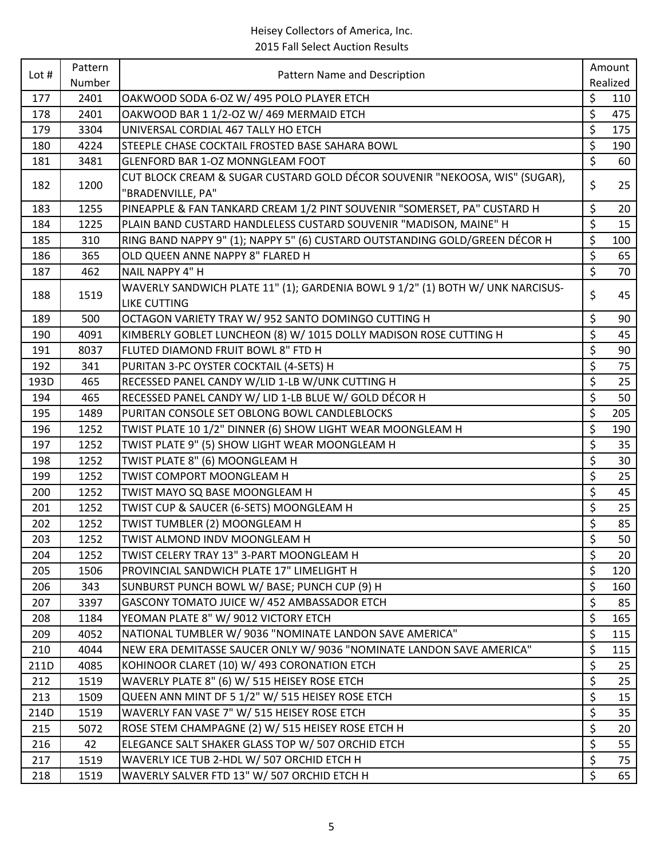| Lot # | Pattern<br>Number | Pattern Name and Description                                                                          | Amount |          |
|-------|-------------------|-------------------------------------------------------------------------------------------------------|--------|----------|
|       |                   |                                                                                                       |        | Realized |
| 177   | 2401              | OAKWOOD SODA 6-OZ W/ 495 POLO PLAYER ETCH                                                             | \$     | 110      |
| 178   | 2401              | OAKWOOD BAR 1 1/2-OZ W/ 469 MERMAID ETCH                                                              | \$     | 475      |
| 179   | 3304              | UNIVERSAL CORDIAL 467 TALLY HO ETCH                                                                   | \$     | 175      |
| 180   | 4224              | STEEPLE CHASE COCKTAIL FROSTED BASE SAHARA BOWL                                                       | \$     | 190      |
| 181   | 3481              | <b>GLENFORD BAR 1-OZ MONNGLEAM FOOT</b>                                                               | \$     | 60       |
| 182   | 1200              | CUT BLOCK CREAM & SUGAR CUSTARD GOLD DÉCOR SOUVENIR "NEKOOSA, WIS" (SUGAR),<br>"BRADENVILLE, PA"      | \$     | 25       |
| 183   | 1255              | PINEAPPLE & FAN TANKARD CREAM 1/2 PINT SOUVENIR "SOMERSET, PA" CUSTARD H                              | \$     | 20       |
| 184   | 1225              | PLAIN BAND CUSTARD HANDLELESS CUSTARD SOUVENIR "MADISON, MAINE" H                                     | \$     | 15       |
| 185   | 310               | RING BAND NAPPY 9" (1); NAPPY 5" (6) CUSTARD OUTSTANDING GOLD/GREEN DÉCOR H                           | \$     | 100      |
| 186   | 365               | OLD QUEEN ANNE NAPPY 8" FLARED H                                                                      | \$     | 65       |
| 187   | 462               | NAIL NAPPY 4" H                                                                                       | \$     | 70       |
| 188   | 1519              | WAVERLY SANDWICH PLATE 11" (1); GARDENIA BOWL 9 1/2" (1) BOTH W/ UNK NARCISUS-<br><b>LIKE CUTTING</b> | \$     | 45       |
| 189   | 500               | OCTAGON VARIETY TRAY W/ 952 SANTO DOMINGO CUTTING H                                                   | \$     | 90       |
| 190   | 4091              | KIMBERLY GOBLET LUNCHEON (8) W/ 1015 DOLLY MADISON ROSE CUTTING H                                     | \$     | 45       |
| 191   | 8037              | FLUTED DIAMOND FRUIT BOWL 8" FTD H                                                                    | \$     | 90       |
| 192   | 341               | PURITAN 3-PC OYSTER COCKTAIL (4-SETS) H                                                               | \$     | 75       |
| 193D  | 465               | RECESSED PANEL CANDY W/LID 1-LB W/UNK CUTTING H                                                       | \$     | 25       |
| 194   | 465               | RECESSED PANEL CANDY W/ LID 1-LB BLUE W/ GOLD DÉCOR H                                                 | \$     | 50       |
| 195   | 1489              | PURITAN CONSOLE SET OBLONG BOWL CANDLEBLOCKS                                                          | \$     | 205      |
| 196   | 1252              | TWIST PLATE 10 1/2" DINNER (6) SHOW LIGHT WEAR MOONGLEAM H                                            | \$     | 190      |
| 197   | 1252              | TWIST PLATE 9" (5) SHOW LIGHT WEAR MOONGLEAM H                                                        | \$     | 35       |
| 198   | 1252              | TWIST PLATE 8" (6) MOONGLEAM H                                                                        | \$     | 30       |
| 199   | 1252              | TWIST COMPORT MOONGLEAM H                                                                             | \$     | 25       |
| 200   | 1252              | TWIST MAYO SQ BASE MOONGLEAM H                                                                        | \$     | 45       |
| 201   | 1252              | TWIST CUP & SAUCER (6-SETS) MOONGLEAM H                                                               | \$     | 25       |
| 202   | 1252              | TWIST TUMBLER (2) MOONGLEAM H                                                                         | \$     | 85       |
| 203   | 1252              | TWIST ALMOND INDV MOONGLEAM H                                                                         | \$     | 50       |
| 204   | 1252              | TWIST CELERY TRAY 13" 3-PART MOONGLEAM H                                                              | \$     | 20       |
| 205   | 1506              | PROVINCIAL SANDWICH PLATE 17" LIMELIGHT H                                                             | \$     | 120      |
| 206   | 343               | SUNBURST PUNCH BOWL W/ BASE; PUNCH CUP (9) H                                                          | \$     | 160      |
| 207   | 3397              | GASCONY TOMATO JUICE W/ 452 AMBASSADOR ETCH                                                           | \$     | 85       |
| 208   | 1184              | YEOMAN PLATE 8" W/ 9012 VICTORY ETCH                                                                  | \$     | 165      |
| 209   | 4052              | NATIONAL TUMBLER W/ 9036 "NOMINATE LANDON SAVE AMERICA"                                               | \$     | 115      |
| 210   | 4044              | NEW ERA DEMITASSE SAUCER ONLY W/ 9036 "NOMINATE LANDON SAVE AMERICA"                                  | \$     | 115      |
| 211D  | 4085              | KOHINOOR CLARET (10) W/ 493 CORONATION ETCH                                                           | \$     | 25       |
| 212   | 1519              | WAVERLY PLATE 8" (6) W/ 515 HEISEY ROSE ETCH                                                          | \$     | 25       |
| 213   | 1509              | QUEEN ANN MINT DF 5 1/2" W/ 515 HEISEY ROSE ETCH                                                      | \$     | 15       |
| 214D  | 1519              | WAVERLY FAN VASE 7" W/ 515 HEISEY ROSE ETCH                                                           | \$     | 35       |
| 215   | 5072              | ROSE STEM CHAMPAGNE (2) W/ 515 HEISEY ROSE ETCH H                                                     | \$     | 20       |
| 216   | 42                | ELEGANCE SALT SHAKER GLASS TOP W/ 507 ORCHID ETCH                                                     | \$     | 55       |
| 217   | 1519              | WAVERLY ICE TUB 2-HDL W/ 507 ORCHID ETCH H                                                            | \$     | 75       |
| 218   | 1519              | WAVERLY SALVER FTD 13" W/ 507 ORCHID ETCH H                                                           | \$     | 65       |